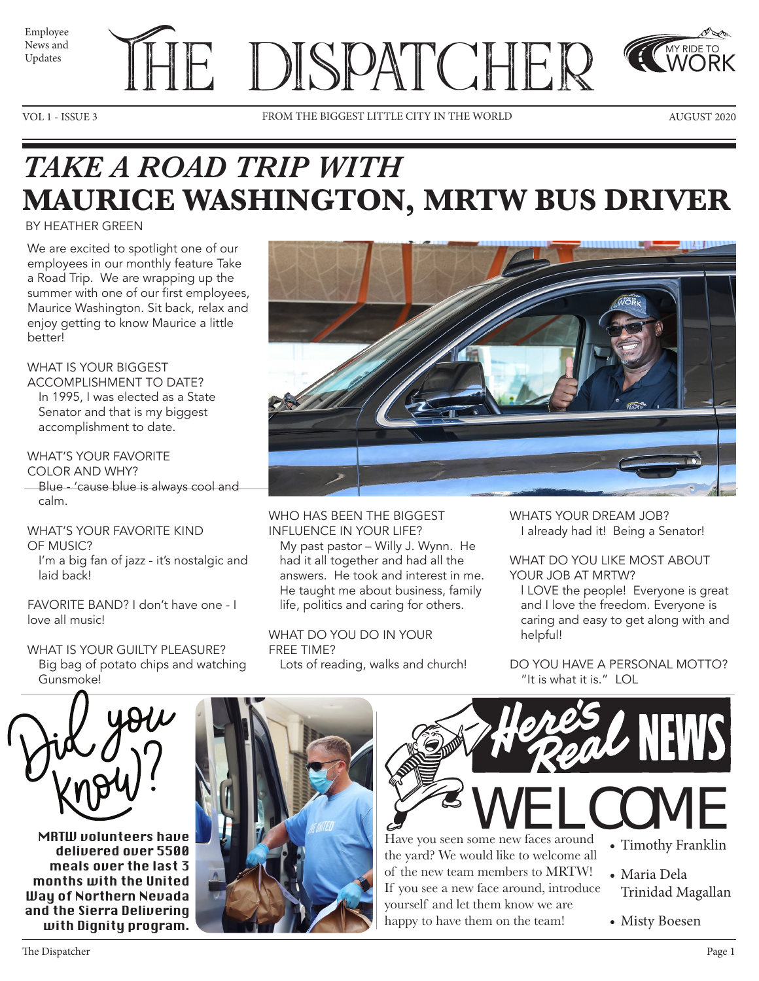





VOL 1 - ISSUE 3 FROM THE BIGGEST LITTLE CITY IN THE WORLD AUGUST 2020



MY RIDE TO WORK

# *TAKE A ROAD TRIP WITH*  **MAURICE WASHINGTON, MRTW BUS DRIVER**

### BY HEATHER GREEN

We are excited to spotlight one of our employees in our monthly feature Take a Road Trip. We are wrapping up the summer with one of our first employees, Maurice Washington. Sit back, relax and enjoy getting to know Maurice a little better!

### WHAT IS YOUR BIGGEST

ACCOMPLISHMENT TO DATE? In 1995, I was elected as a State Senator and that is my biggest accomplishment to date.

### WHAT'S YOUR FAVORITE

COLOR AND WHY? Blue - 'cause blue is always cool and calm.

### WHAT'S YOUR FAVORITE KIND OF MUSIC?

I'm a big fan of jazz - it's nostalgic and laid back!

FAVORITE BAND? I don't have one - I love all music!

### WHAT IS YOUR GUILTY PLEASURE? Big bag of potato chips and watching Gunsmoke!



WHO HAS BEEN THE BIGGEST INFLUENCE IN YOUR LIFE?

My past pastor – Willy J. Wynn. He had it all together and had all the answers. He took and interest in me. He taught me about business, family life, politics and caring for others.

WHAT DO YOU DO IN YOUR FREE TIME? Lots of reading, walks and church! WHATS YOUR DREAM JOB? I already had it! Being a Senator!

#### WHAT DO YOU LIKE MOST ABOUT YOUR JOB AT MRTW?

l LOVE the people! Everyone is great and I love the freedom. Everyone is caring and easy to get along with and helpful!

DO YOU HAVE A PERSONAL MOTTO? "It is what it is." LOL



MRTW volunteers have delivered over 5500 meals over the last 3 months with the United Way of Northern Nevada and the Sierra Delivering with Dignity program.





the yard? We would like to welcome all of the new team members to MRTW! If you see a new face around, introduce yourself and let them know we are happy to have them on the team!

- Timothy Franklin
- Maria Dela Trinidad Magallan
- Misty Boesen